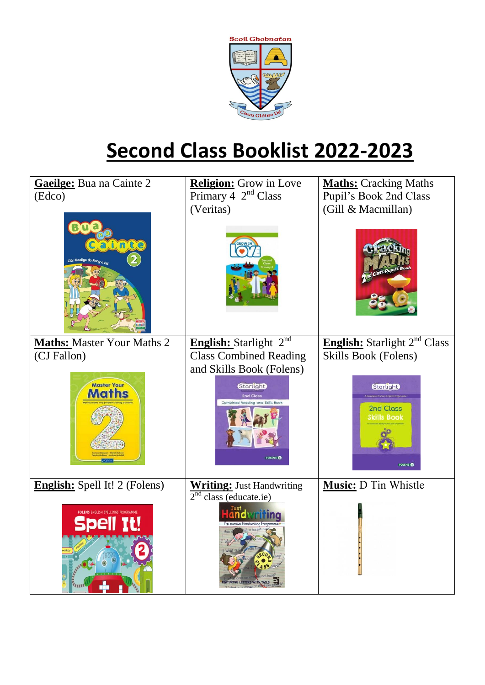

## **Second Class Booklist 2022-2023**

| <b>Gaeilge:</b> Bua na Cainte 2                               | <b>Religion:</b> Grow in Love                                                      | <b>Maths:</b> Cracking Maths                                               |
|---------------------------------------------------------------|------------------------------------------------------------------------------------|----------------------------------------------------------------------------|
| (Edco)                                                        | Primary 4 $2nd Class$                                                              | Pupil's Book 2nd Class                                                     |
|                                                               | (Veritas)                                                                          | (Gill & Macmillan)                                                         |
| ainte                                                         |                                                                                    |                                                                            |
| <b>Maths: Master Your Maths 2</b>                             | English: Starlight 2 <sup>nd</sup>                                                 | English: Starlight 2 <sup>nd</sup> Class                                   |
| (CJ Fallon)                                                   | <b>Class Combined Reading</b>                                                      | Skills Book (Folens)                                                       |
|                                                               | and Skills Book (Folens)                                                           |                                                                            |
| <b>Master Your</b><br><b>Maths</b>                            | <b>Storlight</b><br>2nd Class<br>Combined Reading and Skills Bool<br><b>FOLENS</b> | <b>Storlight</b><br>2nd Class<br><b>Skills Book</b><br>FOLENS <sup>®</sup> |
| <b>English:</b> Spell It! 2 (Folens)                          | <b>Writing: Just Handwriting</b>                                                   | Music: D Tin Whistle                                                       |
| <b>FOLENS ENGLISH SPELLINGS PROGRAMME</b><br><b>Spell It!</b> | $2nd$ class (educate.ie)<br>LETTERS WITH TAILS                                     |                                                                            |